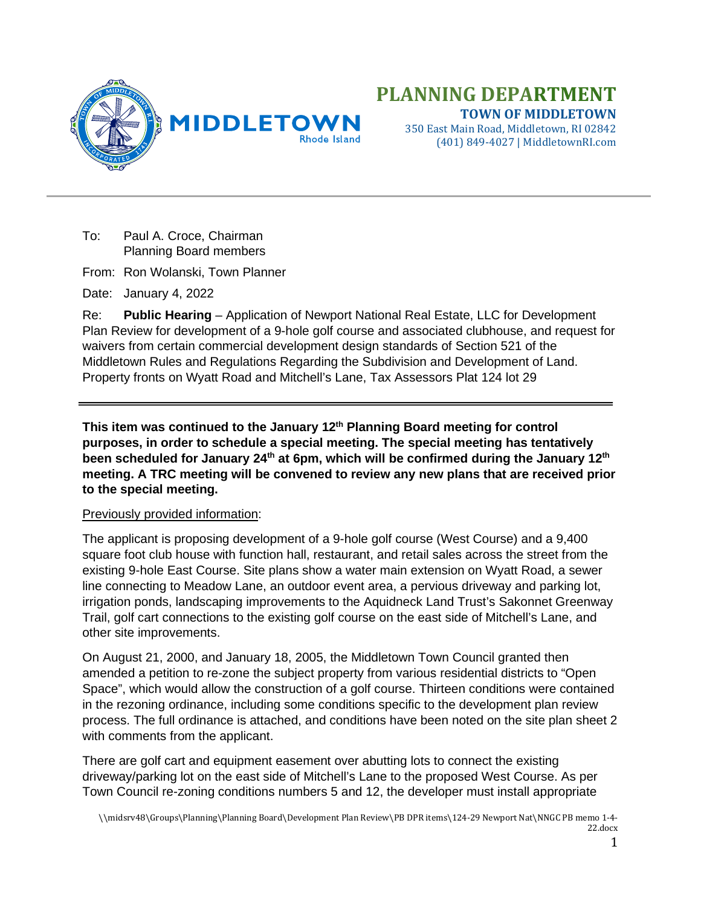

(401) 849-4027 | MiddletownRI.com

To: Paul A. Croce, Chairman Planning Board members

From: Ron Wolanski, Town Planner

Date: January 4, 2022

Re: **Public Hearing** – Application of Newport National Real Estate, LLC for Development Plan Review for development of a 9-hole golf course and associated clubhouse, and request for waivers from certain commercial development design standards of Section 521 of the Middletown Rules and Regulations Regarding the Subdivision and Development of Land. Property fronts on Wyatt Road and Mitchell's Lane, Tax Assessors Plat 124 lot 29

**This item was continued to the January 12th Planning Board meeting for control purposes, in order to schedule a special meeting. The special meeting has tentatively been scheduled for January 24th at 6pm, which will be confirmed during the January 12th meeting. A TRC meeting will be convened to review any new plans that are received prior to the special meeting.**

## Previously provided information:

The applicant is proposing development of a 9-hole golf course (West Course) and a 9,400 square foot club house with function hall, restaurant, and retail sales across the street from the existing 9-hole East Course. Site plans show a water main extension on Wyatt Road, a sewer line connecting to Meadow Lane, an outdoor event area, a pervious driveway and parking lot, irrigation ponds, landscaping improvements to the Aquidneck Land Trust's Sakonnet Greenway Trail, golf cart connections to the existing golf course on the east side of Mitchell's Lane, and other site improvements.

On August 21, 2000, and January 18, 2005, the Middletown Town Council granted then amended a petition to re-zone the subject property from various residential districts to "Open Space", which would allow the construction of a golf course. Thirteen conditions were contained in the rezoning ordinance, including some conditions specific to the development plan review process. The full ordinance is attached, and conditions have been noted on the site plan sheet 2 with comments from the applicant.

There are golf cart and equipment easement over abutting lots to connect the existing driveway/parking lot on the east side of Mitchell's Lane to the proposed West Course. As per Town Council re-zoning conditions numbers 5 and 12, the developer must install appropriate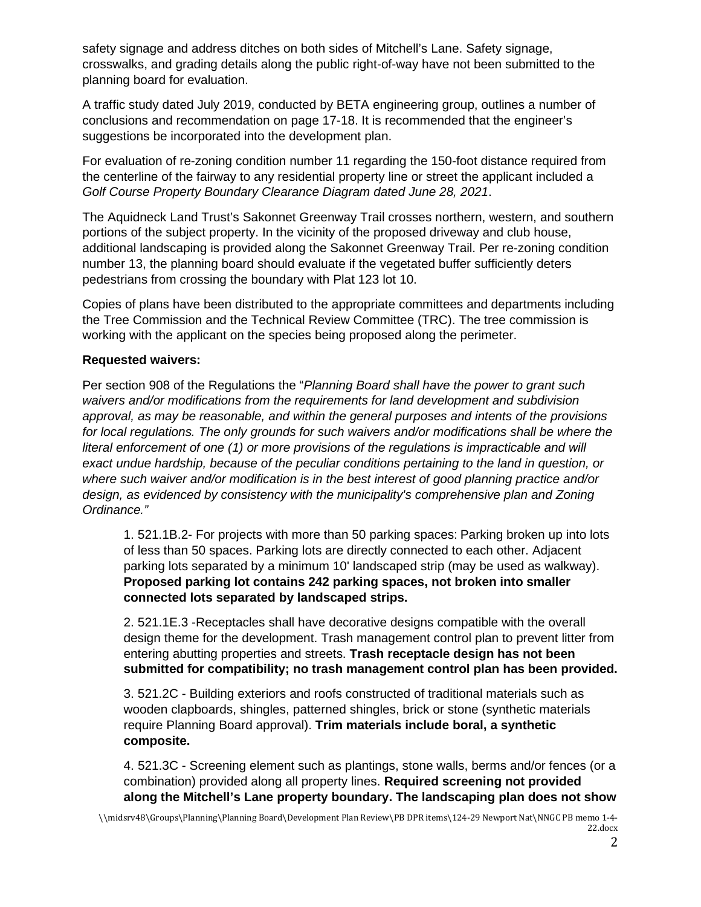safety signage and address ditches on both sides of Mitchell's Lane. Safety signage, crosswalks, and grading details along the public right-of-way have not been submitted to the planning board for evaluation.

A traffic study dated July 2019, conducted by BETA engineering group, outlines a number of conclusions and recommendation on page 17-18. It is recommended that the engineer's suggestions be incorporated into the development plan.

For evaluation of re-zoning condition number 11 regarding the 150-foot distance required from the centerline of the fairway to any residential property line or street the applicant included a *Golf Course Property Boundary Clearance Diagram dated June 28, 2021*.

The Aquidneck Land Trust's Sakonnet Greenway Trail crosses northern, western, and southern portions of the subject property. In the vicinity of the proposed driveway and club house, additional landscaping is provided along the Sakonnet Greenway Trail. Per re-zoning condition number 13, the planning board should evaluate if the vegetated buffer sufficiently deters pedestrians from crossing the boundary with Plat 123 lot 10.

Copies of plans have been distributed to the appropriate committees and departments including the Tree Commission and the Technical Review Committee (TRC). The tree commission is working with the applicant on the species being proposed along the perimeter.

## **Requested waivers:**

Per section 908 of the Regulations the "*Planning Board shall have the power to grant such waivers and/or modifications from the requirements for land development and subdivision approval, as may be reasonable, and within the general purposes and intents of the provisions for local regulations. The only grounds for such waivers and/or modifications shall be where the literal enforcement of one (1) or more provisions of the regulations is impracticable and will exact undue hardship, because of the peculiar conditions pertaining to the land in question, or where such waiver and/or modification is in the best interest of good planning practice and/or design, as evidenced by consistency with the municipality's comprehensive plan and Zoning Ordinance."*

1. 521.1B.2- For projects with more than 50 parking spaces: Parking broken up into lots of less than 50 spaces. Parking lots are directly connected to each other. Adjacent parking lots separated by a minimum 10' landscaped strip (may be used as walkway). **Proposed parking lot contains 242 parking spaces, not broken into smaller connected lots separated by landscaped strips.** 

2. 521.1E.3 -Receptacles shall have decorative designs compatible with the overall design theme for the development. Trash management control plan to prevent litter from entering abutting properties and streets. **Trash receptacle design has not been submitted for compatibility; no trash management control plan has been provided.** 

3. 521.2C - Building exteriors and roofs constructed of traditional materials such as wooden clapboards, shingles, patterned shingles, brick or stone (synthetic materials require Planning Board approval). **Trim materials include boral, a synthetic composite.**

4. 521.3C - Screening element such as plantings, stone walls, berms and/or fences (or a combination) provided along all property lines. **Required screening not provided along the Mitchell's Lane property boundary. The landscaping plan does not show**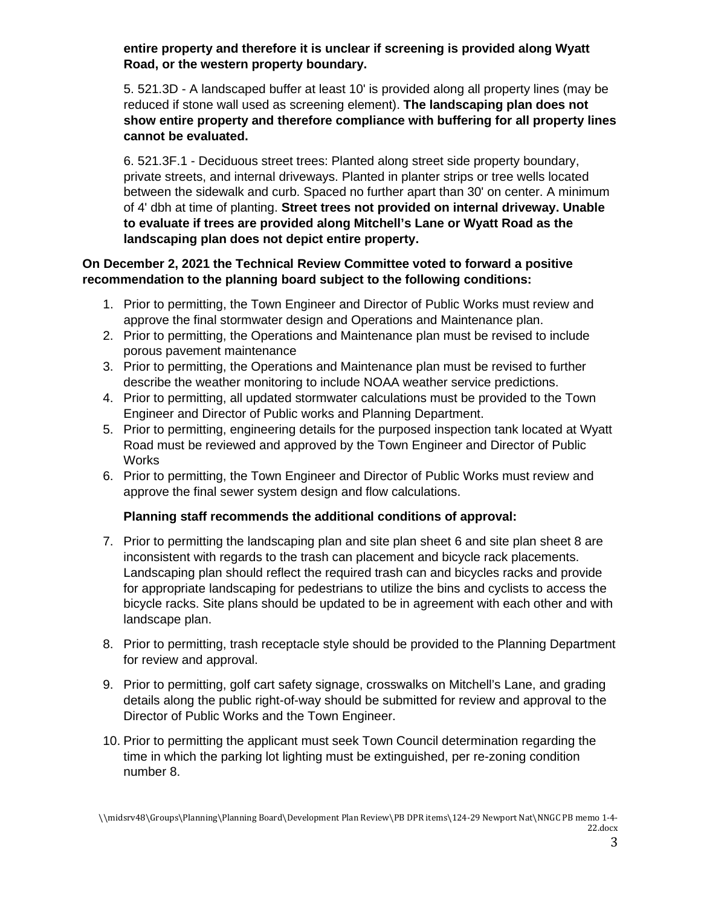**entire property and therefore it is unclear if screening is provided along Wyatt Road, or the western property boundary.** 

5. 521.3D - A landscaped buffer at least 10' is provided along all property lines (may be reduced if stone wall used as screening element). **The landscaping plan does not show entire property and therefore compliance with buffering for all property lines cannot be evaluated.**

6. 521.3F.1 - Deciduous street trees: Planted along street side property boundary, private streets, and internal driveways. Planted in planter strips or tree wells located between the sidewalk and curb. Spaced no further apart than 30' on center. A minimum of 4' dbh at time of planting. **Street trees not provided on internal driveway. Unable to evaluate if trees are provided along Mitchell's Lane or Wyatt Road as the landscaping plan does not depict entire property.** 

## **On December 2, 2021 the Technical Review Committee voted to forward a positive recommendation to the planning board subject to the following conditions:**

- 1. Prior to permitting, the Town Engineer and Director of Public Works must review and approve the final stormwater design and Operations and Maintenance plan.
- 2. Prior to permitting, the Operations and Maintenance plan must be revised to include porous pavement maintenance
- 3. Prior to permitting, the Operations and Maintenance plan must be revised to further describe the weather monitoring to include NOAA weather service predictions.
- 4. Prior to permitting, all updated stormwater calculations must be provided to the Town Engineer and Director of Public works and Planning Department.
- 5. Prior to permitting, engineering details for the purposed inspection tank located at Wyatt Road must be reviewed and approved by the Town Engineer and Director of Public Works
- 6. Prior to permitting, the Town Engineer and Director of Public Works must review and approve the final sewer system design and flow calculations.

# **Planning staff recommends the additional conditions of approval:**

- 7. Prior to permitting the landscaping plan and site plan sheet 6 and site plan sheet 8 are inconsistent with regards to the trash can placement and bicycle rack placements. Landscaping plan should reflect the required trash can and bicycles racks and provide for appropriate landscaping for pedestrians to utilize the bins and cyclists to access the bicycle racks. Site plans should be updated to be in agreement with each other and with landscape plan.
- 8. Prior to permitting, trash receptacle style should be provided to the Planning Department for review and approval.
- 9. Prior to permitting, golf cart safety signage, crosswalks on Mitchell's Lane, and grading details along the public right-of-way should be submitted for review and approval to the Director of Public Works and the Town Engineer.
- 10. Prior to permitting the applicant must seek Town Council determination regarding the time in which the parking lot lighting must be extinguished, per re-zoning condition number 8.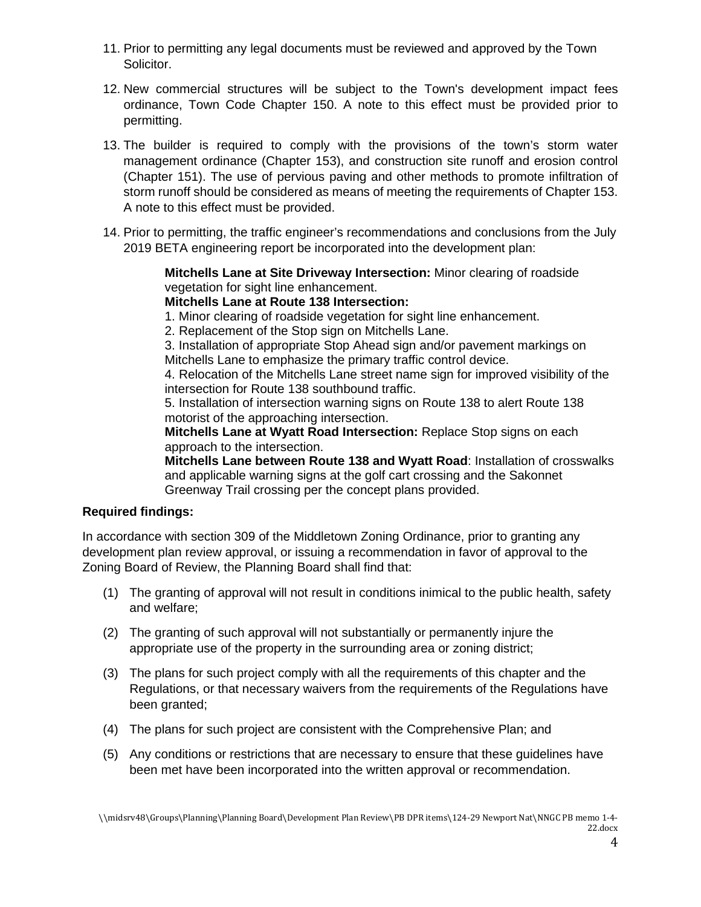- 11. Prior to permitting any legal documents must be reviewed and approved by the Town Solicitor.
- 12. New commercial structures will be subject to the Town's development impact fees ordinance, Town Code Chapter 150. A note to this effect must be provided prior to permitting.
- 13. The builder is required to comply with the provisions of the town's storm water management ordinance (Chapter 153), and construction site runoff and erosion control (Chapter 151). The use of pervious paving and other methods to promote infiltration of storm runoff should be considered as means of meeting the requirements of Chapter 153. A note to this effect must be provided.
- 14. Prior to permitting, the traffic engineer's recommendations and conclusions from the July 2019 BETA engineering report be incorporated into the development plan:

**Mitchells Lane at Site Driveway Intersection:** Minor clearing of roadside vegetation for sight line enhancement.

## **Mitchells Lane at Route 138 Intersection:**

1. Minor clearing of roadside vegetation for sight line enhancement.

2. Replacement of the Stop sign on Mitchells Lane.

3. Installation of appropriate Stop Ahead sign and/or pavement markings on Mitchells Lane to emphasize the primary traffic control device.

4. Relocation of the Mitchells Lane street name sign for improved visibility of the intersection for Route 138 southbound traffic.

5. Installation of intersection warning signs on Route 138 to alert Route 138 motorist of the approaching intersection.

**Mitchells Lane at Wyatt Road Intersection:** Replace Stop signs on each approach to the intersection.

**Mitchells Lane between Route 138 and Wyatt Road**: Installation of crosswalks and applicable warning signs at the golf cart crossing and the Sakonnet Greenway Trail crossing per the concept plans provided.

# **Required findings:**

In accordance with section 309 of the Middletown Zoning Ordinance, prior to granting any development plan review approval, or issuing a recommendation in favor of approval to the Zoning Board of Review, the Planning Board shall find that:

- (1) The granting of approval will not result in conditions inimical to the public health, safety and welfare;
- (2) The granting of such approval will not substantially or permanently injure the appropriate use of the property in the surrounding area or zoning district;
- (3) The plans for such project comply with all the requirements of this chapter and the Regulations, or that necessary waivers from the requirements of the Regulations have been granted;
- (4) The plans for such project are consistent with the Comprehensive Plan; and
- (5) Any conditions or restrictions that are necessary to ensure that these guidelines have been met have been incorporated into the written approval or recommendation.